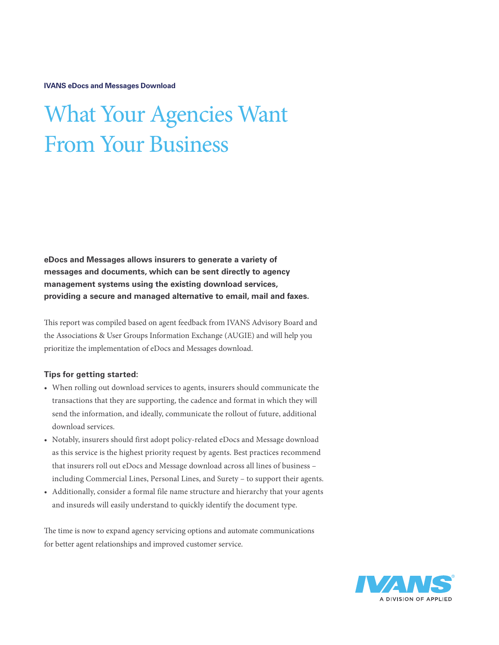**IVANS eDocs and Messages Download**

## What Your Agencies Want From Your Business

**eDocs and Messages allows insurers to generate a variety of messages and documents, which can be sent directly to agency management systems using the existing download services, providing a secure and managed alternative to email, mail and faxes.** 

This report was compiled based on agent feedback from IVANS Advisory Board and the Associations & User Groups Information Exchange (AUGIE) and will help you prioritize the implementation of eDocs and Messages download.

## **Tips for getting started:**

- When rolling out download services to agents, insurers should communicate the transactions that they are supporting, the cadence and format in which they will send the information, and ideally, communicate the rollout of future, additional download services.
- Notably, insurers should first adopt policy-related eDocs and Message download as this service is the highest priority request by agents. Best practices recommend that insurers roll out eDocs and Message download across all lines of business – including Commercial Lines, Personal Lines, and Surety – to support their agents.
- Additionally, consider a formal file name structure and hierarchy that your agents and insureds will easily understand to quickly identify the document type.

The time is now to expand agency servicing options and automate communications for better agent relationships and improved customer service.

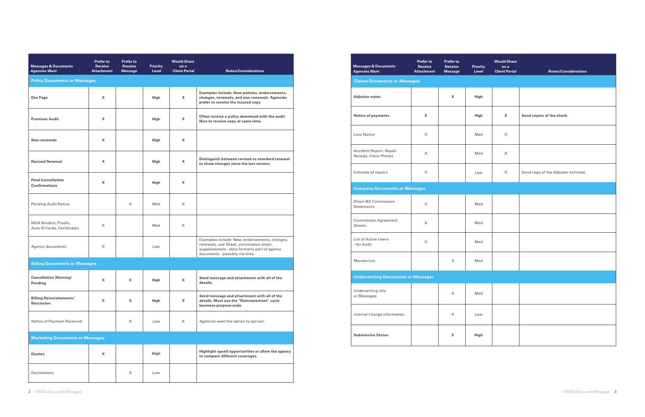| <b>Messages &amp; Documents</b><br><b>Agencies Want</b> | Prefer to<br><b>Receive</b><br><b>Attachment</b> | Prefer to<br>Receive<br><b>Message</b> | <b>Priority</b><br>Level | <b>Would Share</b><br>on a<br><b>Client Portal</b> | <b>Notes/Considerations</b>                                                                                                                                                 |  |  |  |  |  |
|---------------------------------------------------------|--------------------------------------------------|----------------------------------------|--------------------------|----------------------------------------------------|-----------------------------------------------------------------------------------------------------------------------------------------------------------------------------|--|--|--|--|--|
| <b>Policy Documents or Messages</b>                     |                                                  |                                        |                          |                                                    |                                                                                                                                                                             |  |  |  |  |  |
| Dec Page                                                | X                                                |                                        | High                     | $\mathsf{x}$                                       | Examples include: New policies, endorsements,<br>changes, renewals, and non-renewals. Agencies<br>prefer to receive the insured copy                                        |  |  |  |  |  |
| <b>Premium Audit</b>                                    | x                                                |                                        | High                     | $\mathsf{x}$                                       | Often receive a policy download with the audit.<br>Nice to receive copy at same time.                                                                                       |  |  |  |  |  |
| Non-renewals                                            | X                                                |                                        | High                     | $\mathsf{x}$                                       |                                                                                                                                                                             |  |  |  |  |  |
| <b>Revised Renewal</b>                                  | X                                                |                                        | High                     | $\mathsf{x}$                                       | Distinguish between revised vs standard renewal<br>to show changes since the last version.                                                                                  |  |  |  |  |  |
| <b>Final Cancellation</b><br><b>Confirmations</b>       | X                                                |                                        | High                     | $\mathsf{x}$                                       |                                                                                                                                                                             |  |  |  |  |  |
| <b>Pending Audit Notice</b>                             |                                                  | X                                      | Med                      | $\times$                                           |                                                                                                                                                                             |  |  |  |  |  |
| MGA Binders, Proofs,<br>Auto ID Cards, Certificates     | X                                                |                                        | Med                      | X                                                  |                                                                                                                                                                             |  |  |  |  |  |
| Agency documents                                        | X                                                |                                        | Low                      |                                                    | Examples include: New, endorsements, changes,<br>renewals, rate Sheet, commission sheet,<br>supplementals - docs formerly part of agency<br>documents - possibly via links. |  |  |  |  |  |
| <b>Billing Documents or Messages</b>                    |                                                  |                                        |                          |                                                    |                                                                                                                                                                             |  |  |  |  |  |
| <b>Cancellation Warning/</b><br>Pending                 | x                                                | X                                      | High                     | $\mathsf{x}$                                       | Send message and attachment with all of the<br>details.                                                                                                                     |  |  |  |  |  |
| <b>Billing Reinstatements/</b><br>Rescission            | X                                                | x                                      | High                     | X                                                  | Send message and attachment with all of the<br>details. Must use the "Reinstatement" cycle<br>business purpose code.                                                        |  |  |  |  |  |
| Notice of Payment Received                              |                                                  | X                                      | Low                      | $\times$                                           | Agencies want the option to opt out.                                                                                                                                        |  |  |  |  |  |
| <b>Marketing Documents or Messages</b>                  |                                                  |                                        |                          |                                                    |                                                                                                                                                                             |  |  |  |  |  |
| Quotes                                                  | X                                                |                                        | High                     |                                                    | Highlight upsell opportunities or allow the agency<br>to compare different coverages.                                                                                       |  |  |  |  |  |
| Declinations                                            |                                                  | X                                      | Low                      |                                                    |                                                                                                                                                                             |  |  |  |  |  |

| Priority<br>Level | <b>Would Share</b><br>on a<br><b>Client Portal</b> | <b>Notes/Considerations</b>         |  |  |  |  |
|-------------------|----------------------------------------------------|-------------------------------------|--|--|--|--|
|                   |                                                    |                                     |  |  |  |  |
| High              |                                                    |                                     |  |  |  |  |
| High              | X                                                  | Send copies of the check.           |  |  |  |  |
| Med               | X                                                  |                                     |  |  |  |  |
| Med               | X                                                  |                                     |  |  |  |  |
| Low               | X                                                  | Send copy of the Adjuster estimate. |  |  |  |  |
|                   |                                                    |                                     |  |  |  |  |
| Med               |                                                    |                                     |  |  |  |  |
| Med               |                                                    |                                     |  |  |  |  |
| Med               |                                                    |                                     |  |  |  |  |
| Med               |                                                    |                                     |  |  |  |  |
|                   |                                                    |                                     |  |  |  |  |
| Med               |                                                    |                                     |  |  |  |  |
| $\mathsf{Low}$    |                                                    |                                     |  |  |  |  |
| High              |                                                    |                                     |  |  |  |  |

| <b>Messages &amp; Documents</b><br><b>Agencies Want</b> | <b>Prefer to</b><br><b>Receive</b><br><b>Attachment</b> | Prefer to<br>Receive<br><b>Message</b> | <b>Priority</b><br>Level | <b>Would Share</b><br>on a<br><b>Client Portal</b> | <b>Notes/Considerations</b>         |
|---------------------------------------------------------|---------------------------------------------------------|----------------------------------------|--------------------------|----------------------------------------------------|-------------------------------------|
| <b>Claims Documents or Messages</b>                     |                                                         |                                        |                          |                                                    |                                     |
| Adjuster notes                                          |                                                         | x                                      | High                     |                                                    |                                     |
| Notice of payments                                      | x                                                       |                                        | High                     | X                                                  | Send copies of the check.           |
| <b>Loss Notice</b>                                      | X                                                       |                                        | Med                      | X                                                  |                                     |
| Accident Report, Repair<br>Receipt, Claim Photos        | X                                                       |                                        | Med                      | X                                                  |                                     |
| Estimate of repairs                                     | X                                                       |                                        | Low                      | X                                                  | Send copy of the Adjuster estimate. |
| <b>Company Documents or Messages</b>                    |                                                         |                                        |                          |                                                    |                                     |
| <b>Direct Bill Commission</b><br><b>Statements</b>      | X                                                       |                                        | Med                      |                                                    |                                     |
| <b>Commission Agreement</b><br><b>Sheets</b>            | X                                                       |                                        | Med                      |                                                    |                                     |
| <b>List of Active Users</b><br>- for Audit              | X                                                       |                                        | Med                      |                                                    |                                     |
| Moratorium                                              |                                                         | X                                      | Med                      |                                                    |                                     |
| <b>Underwriting Documents or Messages</b>               |                                                         |                                        |                          |                                                    |                                     |
| Underwriting info<br>or Messages                        |                                                         | X                                      | Med                      |                                                    |                                     |
| Internal Change information                             |                                                         | X                                      | Low                      |                                                    |                                     |
| <b>Submission Status</b>                                |                                                         | x                                      | High                     |                                                    |                                     |